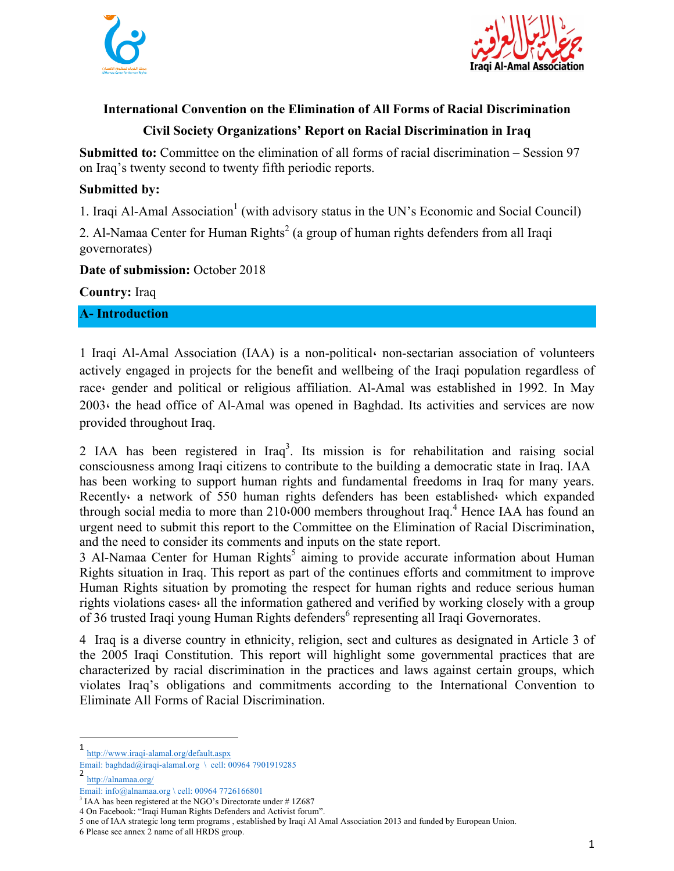



### **International Convention on the Elimination of All Forms of Racial Discrimination**

# **Civil Society Organizations' Report on Racial Discrimination in Iraq**

**Submitted to:** Committee on the elimination of all forms of racial discrimination – Session 97 on Iraq's twenty second to twenty fifth periodic reports.

### **Submitted by:**

1. Iraqi Al-Amal Association<sup>1</sup> (with advisory status in the UN's Economic and Social Council)

2. Al-Namaa Center for Human Rights<sup>2</sup> (a group of human rights defenders from all Iraqi governorates)

#### **Date of submission:** October 2018

**Country:** Iraq

**A- Introduction** 

1 Iraqi Al-Amal Association (IAA) is a non-political، non-sectarian association of volunteers actively engaged in projects for the benefit and wellbeing of the Iraqi population regardless of race، gender and political or religious affiliation. Al-Amal was established in 1992. In May 2003، the head office of Al-Amal was opened in Baghdad. Its activities and services are now provided throughout Iraq.

2 IAA has been registered in Iraq<sup>3</sup>. Its mission is for rehabilitation and raising social consciousness among Iraqi citizens to contribute to the building a democratic state in Iraq. IAA has been working to support human rights and fundamental freedoms in Iraq for many years. Recently a network of 550 human rights defenders has been established which expanded through social media to more than  $210(000)$  members throughout Iraq.<sup>4</sup> Hence IAA has found an urgent need to submit this report to the Committee on the Elimination of Racial Discrimination, and the need to consider its comments and inputs on the state report.

 $3$  Al-Namaa Center for Human Rights<sup>5</sup> aiming to provide accurate information about Human Rights situation in Iraq. This report as part of the continues efforts and commitment to improve Human Rights situation by promoting the respect for human rights and reduce serious human rights violations cases، all the information gathered and verified by working closely with a group of 36 trusted Iraqi young Human Rights defenders<sup>6</sup> representing all Iraqi Governorates.

4 Iraq is a diverse country in ethnicity, religion, sect and cultures as designated in Article 3 of the 2005 Iraqi Constitution. This report will highlight some governmental practices that are characterized by racial discrimination in the practices and laws against certain groups, which violates Iraq's obligations and commitments according to the International Convention to Eliminate All Forms of Racial Discrimination.

2 http://alnamaa.org/

 1 http://www.iraqi-alamal.org/default.aspx

Email: baghdad@iraqi-alamal.org \ cell: 00964 7901919285

Email: info@alnamaa.org \ cell: 00964 7726166801

 $3$  IAA has been registered at the NGO's Directorate under #1Z687

<sup>4</sup> On Facebook: "Iraqi Human Rights Defenders and Activist forum".

<sup>5</sup> one of IAA strategic long term programs , established by Iraqi Al Amal Association 2013 and funded by European Union.

<sup>6</sup> Please see annex 2 name of all HRDS group.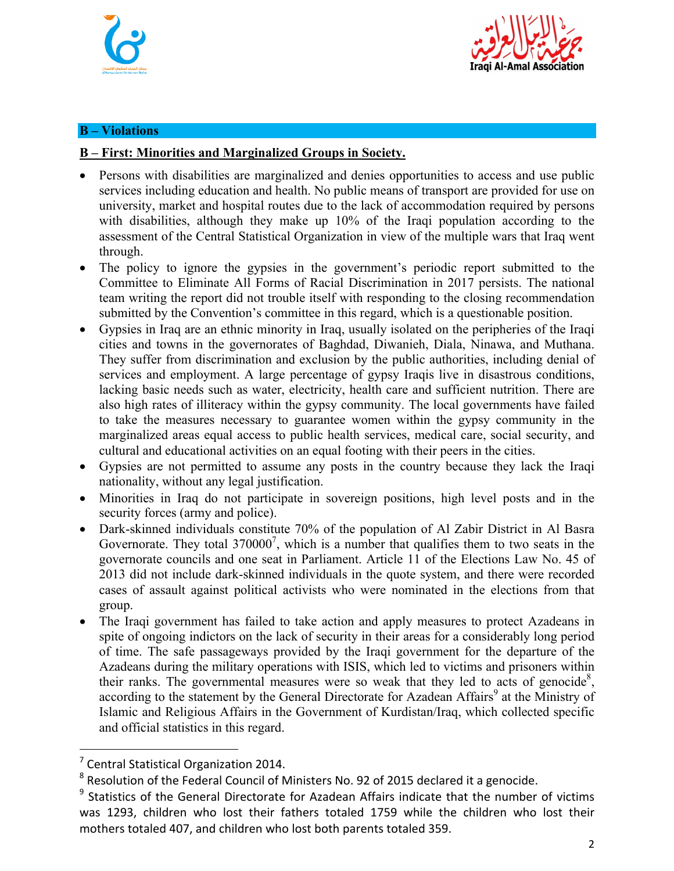



### **B – Violations**

#### **B – First: Minorities and Marginalized Groups in Society.**

- Persons with disabilities are marginalized and denies opportunities to access and use public services including education and health. No public means of transport are provided for use on university, market and hospital routes due to the lack of accommodation required by persons with disabilities, although they make up 10% of the Iraqi population according to the assessment of the Central Statistical Organization in view of the multiple wars that Iraq went through.
- The policy to ignore the gypsies in the government's periodic report submitted to the Committee to Eliminate All Forms of Racial Discrimination in 2017 persists. The national team writing the report did not trouble itself with responding to the closing recommendation submitted by the Convention's committee in this regard, which is a questionable position.
- Gypsies in Iraq are an ethnic minority in Iraq, usually isolated on the peripheries of the Iraqi cities and towns in the governorates of Baghdad, Diwanieh, Diala, Ninawa, and Muthana. They suffer from discrimination and exclusion by the public authorities, including denial of services and employment. A large percentage of gypsy Iraqis live in disastrous conditions, lacking basic needs such as water, electricity, health care and sufficient nutrition. There are also high rates of illiteracy within the gypsy community. The local governments have failed to take the measures necessary to guarantee women within the gypsy community in the marginalized areas equal access to public health services, medical care, social security, and cultural and educational activities on an equal footing with their peers in the cities.
- Gypsies are not permitted to assume any posts in the country because they lack the Iraqi nationality, without any legal justification.
- Minorities in Iraq do not participate in sovereign positions, high level posts and in the security forces (army and police).
- Dark-skinned individuals constitute 70% of the population of Al Zabir District in Al Basra Governorate. They total  $370000^7$ , which is a number that qualifies them to two seats in the governorate councils and one seat in Parliament. Article 11 of the Elections Law No. 45 of 2013 did not include dark-skinned individuals in the quote system, and there were recorded cases of assault against political activists who were nominated in the elections from that group.
- The Iraqi government has failed to take action and apply measures to protect Azadeans in spite of ongoing indictors on the lack of security in their areas for a considerably long period of time. The safe passageways provided by the Iraqi government for the departure of the Azadeans during the military operations with ISIS, which led to victims and prisoners within their ranks. The governmental measures were so weak that they led to acts of genocide<sup>8</sup>, according to the statement by the General Directorate for Azadean Affairs<sup>9</sup> at the Ministry of Islamic and Religious Affairs in the Government of Kurdistan/Iraq, which collected specific and official statistics in this regard.

<u> Andrew Maria (1989)</u>

 $7$  Central Statistical Organization 2014.

 $8$  Resolution of the Federal Council of Ministers No. 92 of 2015 declared it a genocide.

 $9$  Statistics of the General Directorate for Azadean Affairs indicate that the number of victims was 1293, children who lost their fathers totaled 1759 while the children who lost their mothers totaled 407, and children who lost both parents totaled 359.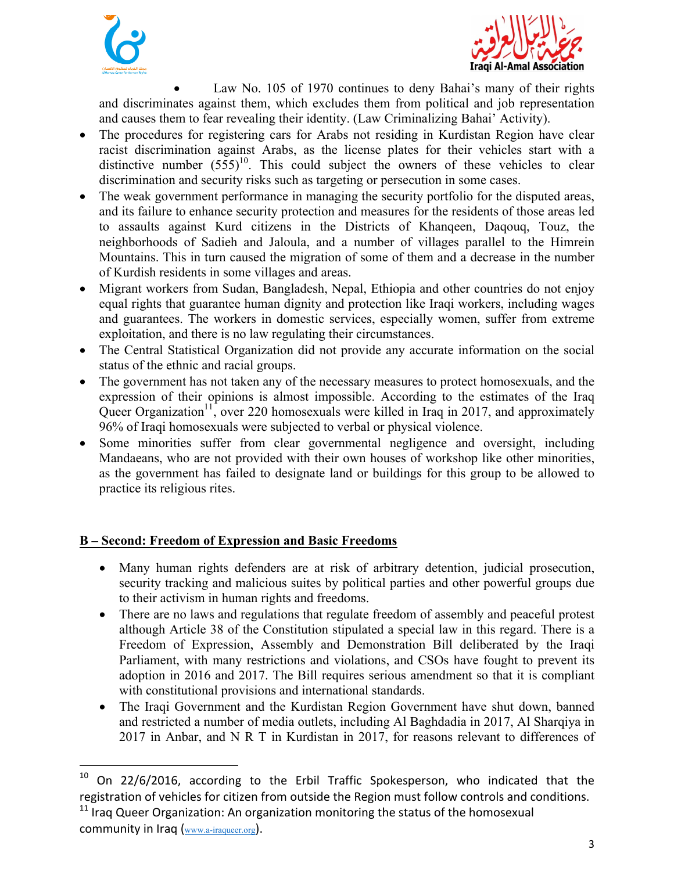



Law No. 105 of 1970 continues to deny Bahai's many of their rights and discriminates against them, which excludes them from political and job representation and causes them to fear revealing their identity. (Law Criminalizing Bahai' Activity).

- The procedures for registering cars for Arabs not residing in Kurdistan Region have clear racist discrimination against Arabs, as the license plates for their vehicles start with a distinctive number  $(555)^{10}$ . This could subject the owners of these vehicles to clear discrimination and security risks such as targeting or persecution in some cases.
- The weak government performance in managing the security portfolio for the disputed areas, and its failure to enhance security protection and measures for the residents of those areas led to assaults against Kurd citizens in the Districts of Khanqeen, Daqouq, Touz, the neighborhoods of Sadieh and Jaloula, and a number of villages parallel to the Himrein Mountains. This in turn caused the migration of some of them and a decrease in the number of Kurdish residents in some villages and areas.
- Migrant workers from Sudan, Bangladesh, Nepal, Ethiopia and other countries do not enjoy equal rights that guarantee human dignity and protection like Iraqi workers, including wages and guarantees. The workers in domestic services, especially women, suffer from extreme exploitation, and there is no law regulating their circumstances.
- The Central Statistical Organization did not provide any accurate information on the social status of the ethnic and racial groups.
- The government has not taken any of the necessary measures to protect homosexuals, and the expression of their opinions is almost impossible. According to the estimates of the Iraq Queer Organization<sup>11</sup>, over 220 homosexuals were killed in Iraq in 2017, and approximately 96% of Iraqi homosexuals were subjected to verbal or physical violence.
- Some minorities suffer from clear governmental negligence and oversight, including Mandaeans, who are not provided with their own houses of workshop like other minorities, as the government has failed to designate land or buildings for this group to be allowed to practice its religious rites.

# **B – Second: Freedom of Expression and Basic Freedoms**

<u> Andrew Maria (1989)</u>

- Many human rights defenders are at risk of arbitrary detention, judicial prosecution, security tracking and malicious suites by political parties and other powerful groups due to their activism in human rights and freedoms.
- There are no laws and regulations that regulate freedom of assembly and peaceful protest although Article 38 of the Constitution stipulated a special law in this regard. There is a Freedom of Expression, Assembly and Demonstration Bill deliberated by the Iraqi Parliament, with many restrictions and violations, and CSOs have fought to prevent its adoption in 2016 and 2017. The Bill requires serious amendment so that it is compliant with constitutional provisions and international standards.
- The Iraqi Government and the Kurdistan Region Government have shut down, banned and restricted a number of media outlets, including Al Baghdadia in 2017, Al Sharqiya in 2017 in Anbar, and N R T in Kurdistan in 2017, for reasons relevant to differences of

 $10$  On 22/6/2016, according to the Erbil Traffic Spokesperson, who indicated that the registration of vehicles for citizen from outside the Region must follow controls and conditions.  $11$  Iraq Queer Organization: An organization monitoring the status of the homosexual community in Iraq  $(www.a-iraqueer.org)$ .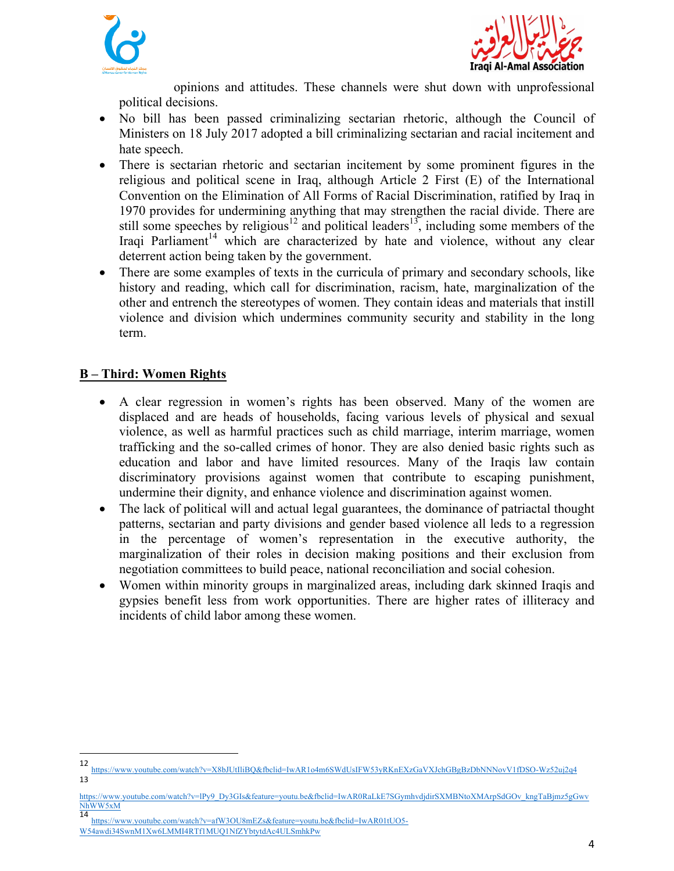



opinions and attitudes. These channels were shut down with unprofessional political decisions.

- No bill has been passed criminalizing sectarian rhetoric, although the Council of Ministers on 18 July 2017 adopted a bill criminalizing sectarian and racial incitement and hate speech.
- There is sectarian rhetoric and sectarian incitement by some prominent figures in the religious and political scene in Iraq, although Article 2 First (E) of the International Convention on the Elimination of All Forms of Racial Discrimination, ratified by Iraq in 1970 provides for undermining anything that may strengthen the racial divide. There are still some speeches by religious<sup>12</sup> and political leaders<sup>13</sup>, including some members of the Iraqi Parliament<sup>14</sup> which are characterized by hate and violence, without any clear deterrent action being taken by the government.
- There are some examples of texts in the curricula of primary and secondary schools, like history and reading, which call for discrimination, racism, hate, marginalization of the other and entrench the stereotypes of women. They contain ideas and materials that instill violence and division which undermines community security and stability in the long term.

### **B – Third: Women Rights**

- A clear regression in women's rights has been observed. Many of the women are displaced and are heads of households, facing various levels of physical and sexual violence, as well as harmful practices such as child marriage, interim marriage, women trafficking and the so-called crimes of honor. They are also denied basic rights such as education and labor and have limited resources. Many of the Iraqis law contain discriminatory provisions against women that contribute to escaping punishment, undermine their dignity, and enhance violence and discrimination against women.
- The lack of political will and actual legal guarantees, the dominance of patriactal thought patterns, sectarian and party divisions and gender based violence all leds to a regression in the percentage of women's representation in the executive authority, the marginalization of their roles in decision making positions and their exclusion from negotiation committees to build peace, national reconciliation and social cohesion.
- Women within minority groups in marginalized areas, including dark skinned Iraqis and gypsies benefit less from work opportunities. There are higher rates of illiteracy and incidents of child labor among these women.

14 https://www.youtube.com/watch?v=afW3OU8mEZs&feature=youtu.be&fbclid=IwAR01tUO5-

 

<sup>12</sup> https://www.youtube.com/watch?v=X8bJUtIliBQ&fbclid=IwAR1o4m6SWdUsIFW53yRKnEXzGaVXJchGBgBzDbNNNovV1fDSO-Wz52uj2q4 13

https://www.youtube.com/watch?v=lPy9\_Dy3GIs&feature=youtu.be&fbclid=IwAR0RaLkE7SGymhvdjdirSXMBNtoXMArpSdGOv\_kngTaBjmz5gGwv NhWW5xM

W54awdi34SwnM1Xw6LMMI4RTf1MUQ1NfZYbtytdAc4ULSmhkPw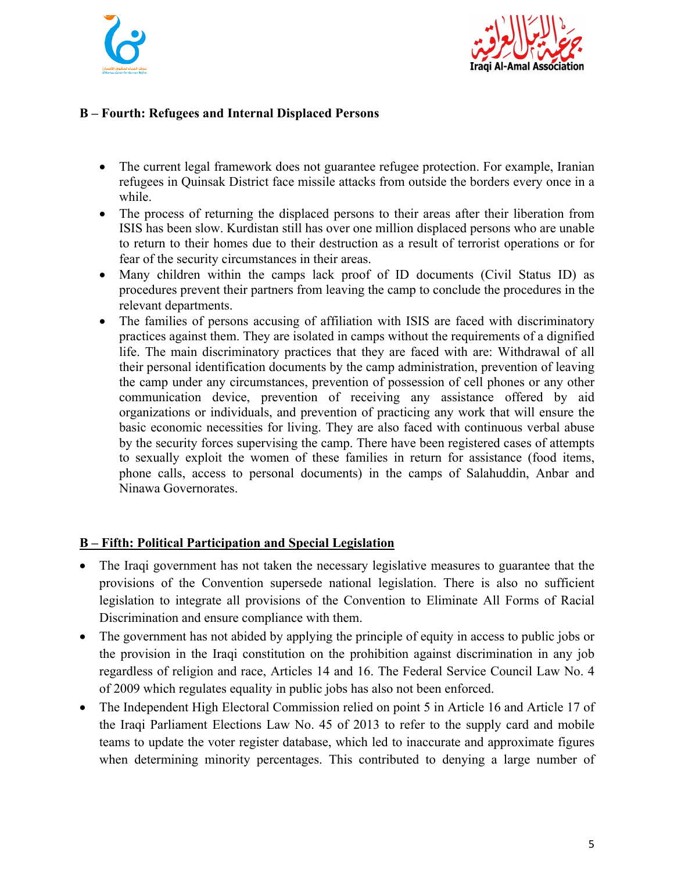



## **B – Fourth: Refugees and Internal Displaced Persons**

- The current legal framework does not guarantee refugee protection. For example, Iranian refugees in Quinsak District face missile attacks from outside the borders every once in a while.
- The process of returning the displaced persons to their areas after their liberation from ISIS has been slow. Kurdistan still has over one million displaced persons who are unable to return to their homes due to their destruction as a result of terrorist operations or for fear of the security circumstances in their areas.
- Many children within the camps lack proof of ID documents (Civil Status ID) as procedures prevent their partners from leaving the camp to conclude the procedures in the relevant departments.
- The families of persons accusing of affiliation with ISIS are faced with discriminatory practices against them. They are isolated in camps without the requirements of a dignified life. The main discriminatory practices that they are faced with are: Withdrawal of all their personal identification documents by the camp administration, prevention of leaving the camp under any circumstances, prevention of possession of cell phones or any other communication device, prevention of receiving any assistance offered by aid organizations or individuals, and prevention of practicing any work that will ensure the basic economic necessities for living. They are also faced with continuous verbal abuse by the security forces supervising the camp. There have been registered cases of attempts to sexually exploit the women of these families in return for assistance (food items, phone calls, access to personal documents) in the camps of Salahuddin, Anbar and Ninawa Governorates.

### **B – Fifth: Political Participation and Special Legislation**

- The Iraqi government has not taken the necessary legislative measures to guarantee that the provisions of the Convention supersede national legislation. There is also no sufficient legislation to integrate all provisions of the Convention to Eliminate All Forms of Racial Discrimination and ensure compliance with them.
- The government has not abided by applying the principle of equity in access to public jobs or the provision in the Iraqi constitution on the prohibition against discrimination in any job regardless of religion and race, Articles 14 and 16. The Federal Service Council Law No. 4 of 2009 which regulates equality in public jobs has also not been enforced.
- The Independent High Electoral Commission relied on point 5 in Article 16 and Article 17 of the Iraqi Parliament Elections Law No. 45 of 2013 to refer to the supply card and mobile teams to update the voter register database, which led to inaccurate and approximate figures when determining minority percentages. This contributed to denying a large number of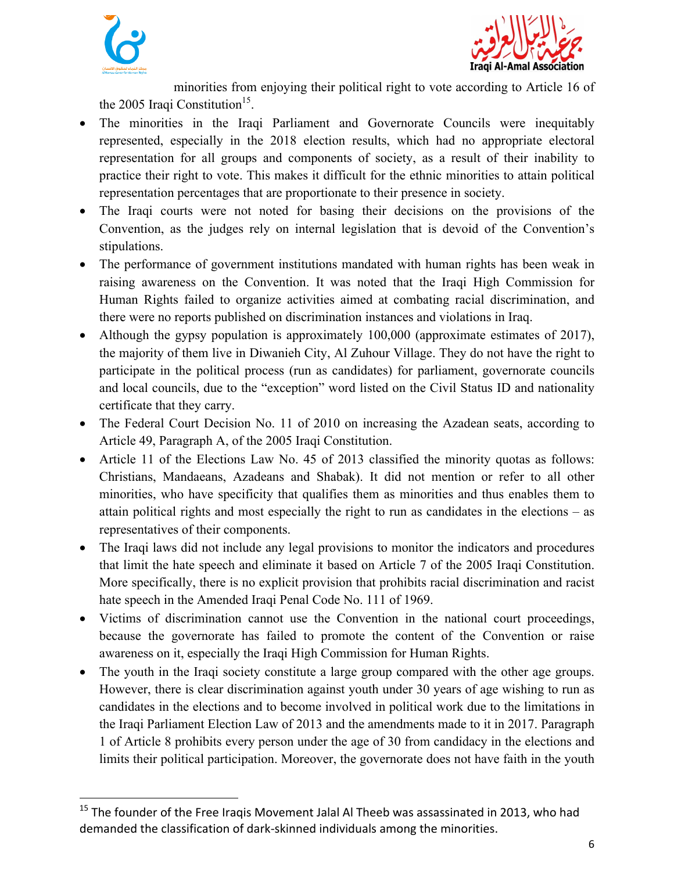



minorities from enjoying their political right to vote according to Article 16 of the 2005 Iraqi Constitution<sup>15</sup>.

- The minorities in the Iraqi Parliament and Governorate Councils were inequitably represented, especially in the 2018 election results, which had no appropriate electoral representation for all groups and components of society, as a result of their inability to practice their right to vote. This makes it difficult for the ethnic minorities to attain political representation percentages that are proportionate to their presence in society.
- The Iraqi courts were not noted for basing their decisions on the provisions of the Convention, as the judges rely on internal legislation that is devoid of the Convention's stipulations.
- The performance of government institutions mandated with human rights has been weak in raising awareness on the Convention. It was noted that the Iraqi High Commission for Human Rights failed to organize activities aimed at combating racial discrimination, and there were no reports published on discrimination instances and violations in Iraq.
- Although the gypsy population is approximately 100,000 (approximate estimates of 2017), the majority of them live in Diwanieh City, Al Zuhour Village. They do not have the right to participate in the political process (run as candidates) for parliament, governorate councils and local councils, due to the "exception" word listed on the Civil Status ID and nationality certificate that they carry.
- The Federal Court Decision No. 11 of 2010 on increasing the Azadean seats, according to Article 49, Paragraph A, of the 2005 Iraqi Constitution.
- Article 11 of the Elections Law No. 45 of 2013 classified the minority quotas as follows: Christians, Mandaeans, Azadeans and Shabak). It did not mention or refer to all other minorities, who have specificity that qualifies them as minorities and thus enables them to attain political rights and most especially the right to run as candidates in the elections – as representatives of their components.
- The Iraqi laws did not include any legal provisions to monitor the indicators and procedures that limit the hate speech and eliminate it based on Article 7 of the 2005 Iraqi Constitution. More specifically, there is no explicit provision that prohibits racial discrimination and racist hate speech in the Amended Iraqi Penal Code No. 111 of 1969.
- Victims of discrimination cannot use the Convention in the national court proceedings, because the governorate has failed to promote the content of the Convention or raise awareness on it, especially the Iraqi High Commission for Human Rights.
- The youth in the Iraqi society constitute a large group compared with the other age groups. However, there is clear discrimination against youth under 30 years of age wishing to run as candidates in the elections and to become involved in political work due to the limitations in the Iraqi Parliament Election Law of 2013 and the amendments made to it in 2017. Paragraph 1 of Article 8 prohibits every person under the age of 30 from candidacy in the elections and limits their political participation. Moreover, the governorate does not have faith in the youth

<u> Andrew Maria (1989)</u>

 $15$  The founder of the Free Iraqis Movement Jalal Al Theeb was assassinated in 2013, who had demanded the classification of dark-skinned individuals among the minorities.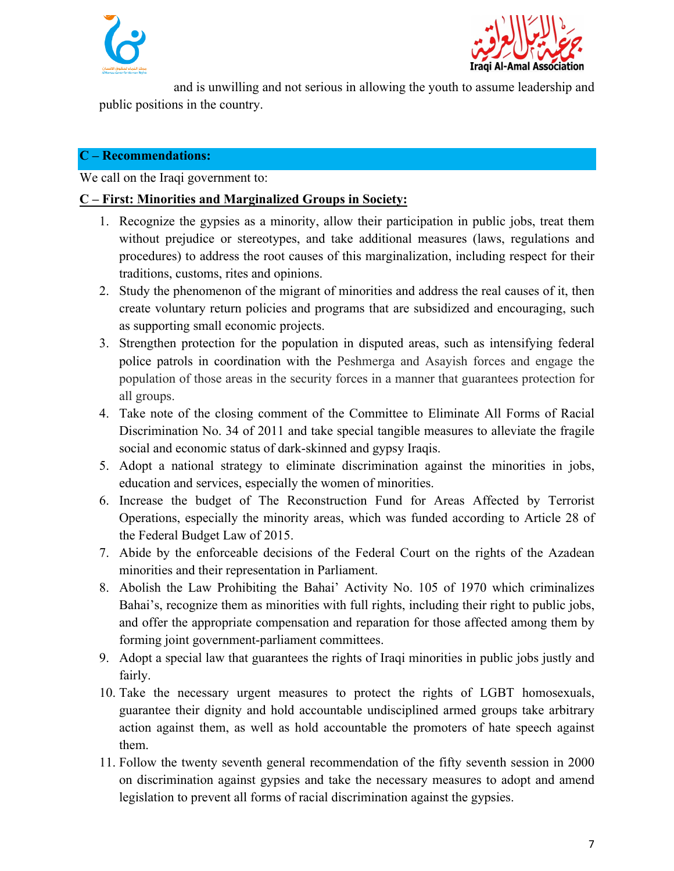



and is unwilling and not serious in allowing the youth to assume leadership and public positions in the country.

### **C – Recommendations:**

We call on the Iraqi government to:

### **C – First: Minorities and Marginalized Groups in Society:**

- 1. Recognize the gypsies as a minority, allow their participation in public jobs, treat them without prejudice or stereotypes, and take additional measures (laws, regulations and procedures) to address the root causes of this marginalization, including respect for their traditions, customs, rites and opinions.
- 2. Study the phenomenon of the migrant of minorities and address the real causes of it, then create voluntary return policies and programs that are subsidized and encouraging, such as supporting small economic projects.
- 3. Strengthen protection for the population in disputed areas, such as intensifying federal police patrols in coordination with the Peshmerga and Asayish forces and engage the population of those areas in the security forces in a manner that guarantees protection for all groups.
- 4. Take note of the closing comment of the Committee to Eliminate All Forms of Racial Discrimination No. 34 of 2011 and take special tangible measures to alleviate the fragile social and economic status of dark-skinned and gypsy Iraqis.
- 5. Adopt a national strategy to eliminate discrimination against the minorities in jobs, education and services, especially the women of minorities.
- 6. Increase the budget of The Reconstruction Fund for Areas Affected by Terrorist Operations, especially the minority areas, which was funded according to Article 28 of the Federal Budget Law of 2015.
- 7. Abide by the enforceable decisions of the Federal Court on the rights of the Azadean minorities and their representation in Parliament.
- 8. Abolish the Law Prohibiting the Bahai' Activity No. 105 of 1970 which criminalizes Bahai's, recognize them as minorities with full rights, including their right to public jobs, and offer the appropriate compensation and reparation for those affected among them by forming joint government-parliament committees.
- 9. Adopt a special law that guarantees the rights of Iraqi minorities in public jobs justly and fairly.
- 10. Take the necessary urgent measures to protect the rights of LGBT homosexuals, guarantee their dignity and hold accountable undisciplined armed groups take arbitrary action against them, as well as hold accountable the promoters of hate speech against them.
- 11. Follow the twenty seventh general recommendation of the fifty seventh session in 2000 on discrimination against gypsies and take the necessary measures to adopt and amend legislation to prevent all forms of racial discrimination against the gypsies.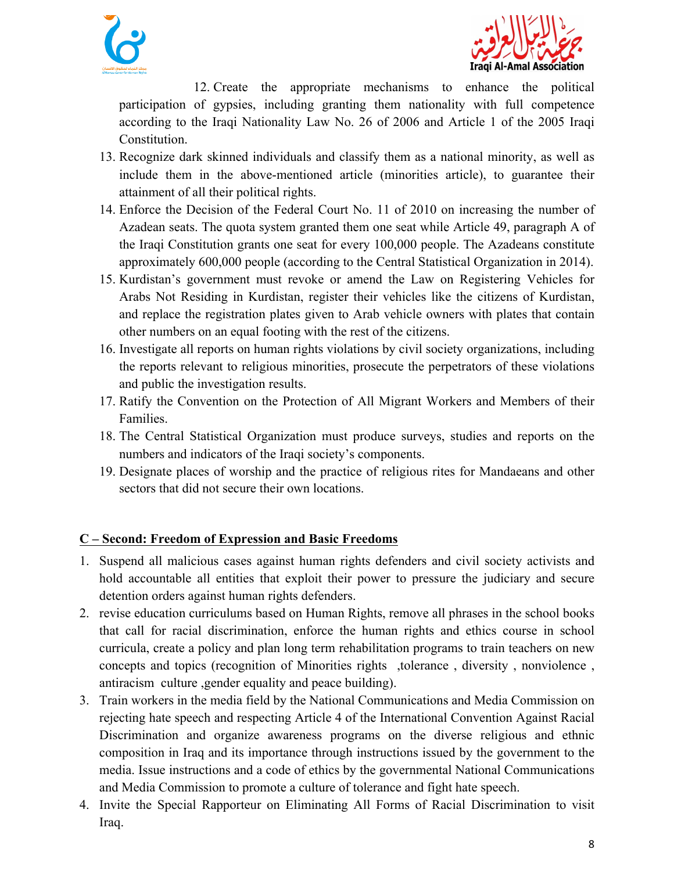



12. Create the appropriate mechanisms to enhance the political participation of gypsies, including granting them nationality with full competence according to the Iraqi Nationality Law No. 26 of 2006 and Article 1 of the 2005 Iraqi Constitution.

- 13. Recognize dark skinned individuals and classify them as a national minority, as well as include them in the above-mentioned article (minorities article), to guarantee their attainment of all their political rights.
- 14. Enforce the Decision of the Federal Court No. 11 of 2010 on increasing the number of Azadean seats. The quota system granted them one seat while Article 49, paragraph A of the Iraqi Constitution grants one seat for every 100,000 people. The Azadeans constitute approximately 600,000 people (according to the Central Statistical Organization in 2014).
- 15. Kurdistan's government must revoke or amend the Law on Registering Vehicles for Arabs Not Residing in Kurdistan, register their vehicles like the citizens of Kurdistan, and replace the registration plates given to Arab vehicle owners with plates that contain other numbers on an equal footing with the rest of the citizens.
- 16. Investigate all reports on human rights violations by civil society organizations, including the reports relevant to religious minorities, prosecute the perpetrators of these violations and public the investigation results.
- 17. Ratify the Convention on the Protection of All Migrant Workers and Members of their Families.
- 18. The Central Statistical Organization must produce surveys, studies and reports on the numbers and indicators of the Iraqi society's components.
- 19. Designate places of worship and the practice of religious rites for Mandaeans and other sectors that did not secure their own locations.

# **C – Second: Freedom of Expression and Basic Freedoms**

- 1. Suspend all malicious cases against human rights defenders and civil society activists and hold accountable all entities that exploit their power to pressure the judiciary and secure detention orders against human rights defenders.
- 2. revise education curriculums based on Human Rights, remove all phrases in the school books that call for racial discrimination, enforce the human rights and ethics course in school curricula, create a policy and plan long term rehabilitation programs to train teachers on new concepts and topics (recognition of Minorities rights ,tolerance, diversity, nonviolence, antiracism culture ,gender equality and peace building).
- 3. Train workers in the media field by the National Communications and Media Commission on rejecting hate speech and respecting Article 4 of the International Convention Against Racial Discrimination and organize awareness programs on the diverse religious and ethnic composition in Iraq and its importance through instructions issued by the government to the media. Issue instructions and a code of ethics by the governmental National Communications and Media Commission to promote a culture of tolerance and fight hate speech.
- 4. Invite the Special Rapporteur on Eliminating All Forms of Racial Discrimination to visit Iraq.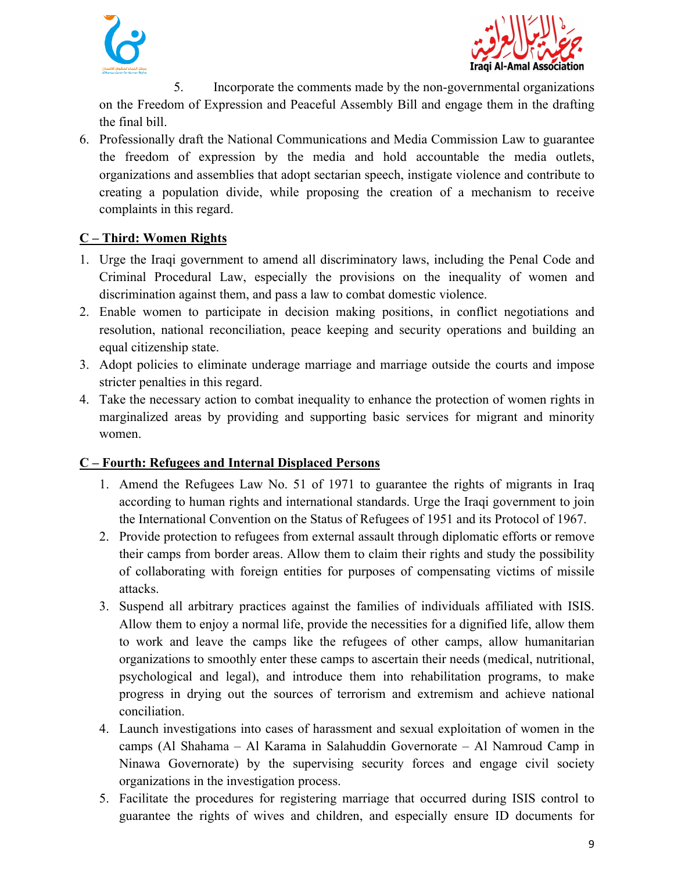



5. Incorporate the comments made by the non-governmental organizations on the Freedom of Expression and Peaceful Assembly Bill and engage them in the drafting the final bill.

6. Professionally draft the National Communications and Media Commission Law to guarantee the freedom of expression by the media and hold accountable the media outlets, organizations and assemblies that adopt sectarian speech, instigate violence and contribute to creating a population divide, while proposing the creation of a mechanism to receive complaints in this regard.

# **C – Third: Women Rights**

- 1. Urge the Iraqi government to amend all discriminatory laws, including the Penal Code and Criminal Procedural Law, especially the provisions on the inequality of women and discrimination against them, and pass a law to combat domestic violence.
- 2. Enable women to participate in decision making positions, in conflict negotiations and resolution, national reconciliation, peace keeping and security operations and building an equal citizenship state.
- 3. Adopt policies to eliminate underage marriage and marriage outside the courts and impose stricter penalties in this regard.
- 4. Take the necessary action to combat inequality to enhance the protection of women rights in marginalized areas by providing and supporting basic services for migrant and minority women.

### **C – Fourth: Refugees and Internal Displaced Persons**

- 1. Amend the Refugees Law No. 51 of 1971 to guarantee the rights of migrants in Iraq according to human rights and international standards. Urge the Iraqi government to join the International Convention on the Status of Refugees of 1951 and its Protocol of 1967.
- 2. Provide protection to refugees from external assault through diplomatic efforts or remove their camps from border areas. Allow them to claim their rights and study the possibility of collaborating with foreign entities for purposes of compensating victims of missile attacks.
- 3. Suspend all arbitrary practices against the families of individuals affiliated with ISIS. Allow them to enjoy a normal life, provide the necessities for a dignified life, allow them to work and leave the camps like the refugees of other camps, allow humanitarian organizations to smoothly enter these camps to ascertain their needs (medical, nutritional, psychological and legal), and introduce them into rehabilitation programs, to make progress in drying out the sources of terrorism and extremism and achieve national conciliation.
- 4. Launch investigations into cases of harassment and sexual exploitation of women in the camps (Al Shahama – Al Karama in Salahuddin Governorate – Al Namroud Camp in Ninawa Governorate) by the supervising security forces and engage civil society organizations in the investigation process.
- 5. Facilitate the procedures for registering marriage that occurred during ISIS control to guarantee the rights of wives and children, and especially ensure ID documents for